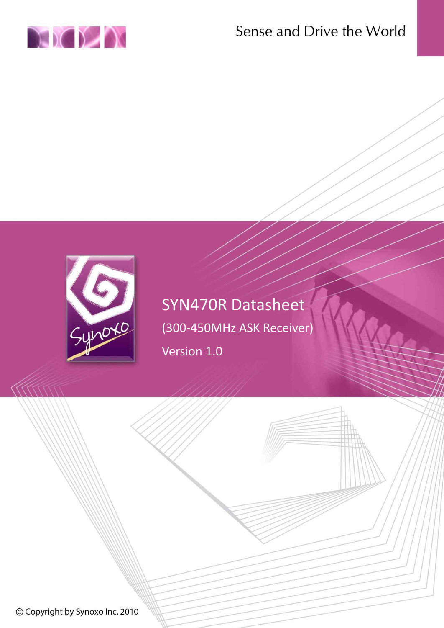





# SYN470R Datasheet (300-450MHz ASK Receiver)

Version 1.0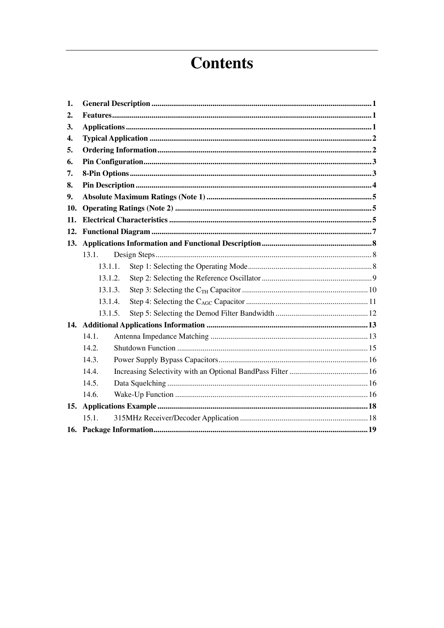# **Contents**

| 1.  |         |  |  |  |
|-----|---------|--|--|--|
| 2.  |         |  |  |  |
| 3.  |         |  |  |  |
| 4.  |         |  |  |  |
| 5.  |         |  |  |  |
| 6.  |         |  |  |  |
| 7.  |         |  |  |  |
| 8.  |         |  |  |  |
| 9.  |         |  |  |  |
| 10. |         |  |  |  |
| 11. |         |  |  |  |
| 12. |         |  |  |  |
|     |         |  |  |  |
|     | 13.1.   |  |  |  |
|     | 13.1.1. |  |  |  |
|     | 13.1.2. |  |  |  |
|     | 13.1.3. |  |  |  |
|     | 13.1.4. |  |  |  |
|     | 13.1.5. |  |  |  |
|     |         |  |  |  |
|     | 14.1.   |  |  |  |
|     | 14.2.   |  |  |  |
|     | 14.3.   |  |  |  |
|     | 14.4.   |  |  |  |
|     | 14.5.   |  |  |  |
|     | 14.6.   |  |  |  |
| 15. |         |  |  |  |
|     | 15.1.   |  |  |  |
|     |         |  |  |  |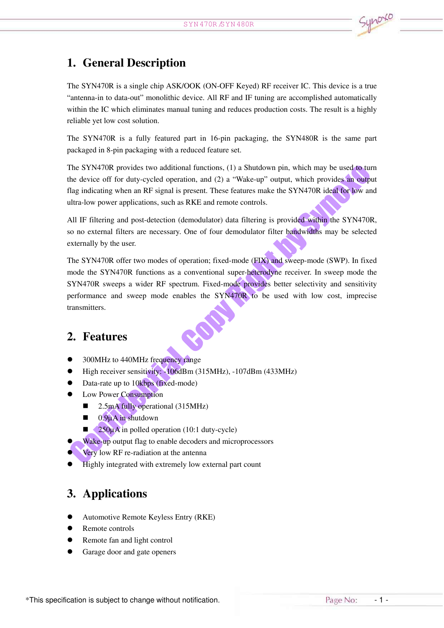## 1. General Description

The SYN470R is <sup>a</sup> single chip ASK/OOK (ON-OFF Keyed) RF receiver IC. This device is <sup>a</sup> true "antenna-in to data-out" monolithic device. All RF and IF tuning are accomplished automatically within the IC which eliminates manual tuning and reduces production costs. The result is <sup>a</sup> highly reliable ye<sup>t</sup> low cost solution.

The SYN470R is <sup>a</sup> fully featured par<sup>t</sup> in 16-pin packaging, the SYN480R is the same par<sup>t</sup> packaged in 8-pin packaging with <sup>a</sup> reduced feature set.

The SYN470R provides two additional functions, (1) <sup>a</sup> Shutdown pin, which may be used to turn the device off for duty-cycled operation, and (2) <sup>a</sup> "Wake-up" output, which provides an output flag indicating when an RF signal is present. These features make the SYN470R ideal for low and ultra-low power applications, such as RKE and remote controls.

All IF filtering and post-detection (demodulator) data filtering is provided within the SYN470R, so no external filters are necessary. One of four demodulator filter bandwidths may be selected externally by the user.

The SYN470R offer two modes of operation; fixed-mode (FIX) and sweep-mode (SWP). In fixed mode the SYN470R functions as <sup>a</sup> conventional super-heterodyne receiver. In sweep mode the SYN470R sweeps <sup>a</sup> wider RF spectrum. Fixed-mode provides better selectivity and sensitivity performance and sweep mode enables the SYN470R to be used with low cost, imprecise transmitters.

### 2. Features

- �300MHz to 440MHz frequency range
- �High receiver sensitivity: -106dBm (315MHz), -107dBm (433MHz)
- �Data-rate up to 10kbps (fixed-mode)
- � Low Power Consumption
	- �2.5mA fully operational (315MHz)
	- $\blacksquare$ 0.9µA in shutdown
	- $\blacksquare$ 250µA in polled operation (10:1 duty-cycle)
	- Wake-up output flag to enable decoders and microprocessors
- �Very low RF re-radiation at the antenna
- �Highly integrated with extremely low external par<sup>t</sup> count

## 3. Applications

�

- �Automotive Remote Keyless Entry (RKE)
- �Remote controls
- �Remote fan and light control
- �Garage door and gate openers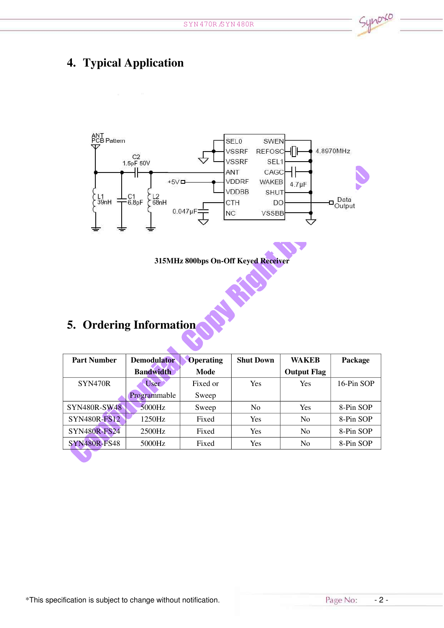# 4. Typical Application



#### 315MHz 800bps On-Off Keyed Receiver

**BASE** 

# 5. Ordering Information

| <b>Part Number</b>  | <b>Demodulator</b> | <b>Operating</b> | <b>Shut Down</b> | WAKEB              | Package    |
|---------------------|--------------------|------------------|------------------|--------------------|------------|
|                     | <b>Bandwidth</b>   | Mode             |                  | <b>Output Flag</b> |            |
| SYN470R             | User               | Fixed or         | Yes              | Yes                | 16-Pin SOP |
|                     | Programmable       | Sweep            |                  |                    |            |
| <b>SYN480R-SW48</b> | 5000Hz             | Sweep            | N <sub>0</sub>   | <b>Yes</b>         | 8-Pin SOP  |
| <b>SYN480R-FS12</b> | 1250Hz             | Fixed            | Yes              | N <sub>0</sub>     | 8-Pin SOP  |
| <b>SYN480R-FS24</b> | 2500Hz             | Fixed            | Yes              | N <sub>0</sub>     | 8-Pin SOP  |
| <b>SYN480R-FS48</b> | 5000Hz             | Fixed            | Yes              | N <sub>0</sub>     | 8-Pin SOP  |

synoxo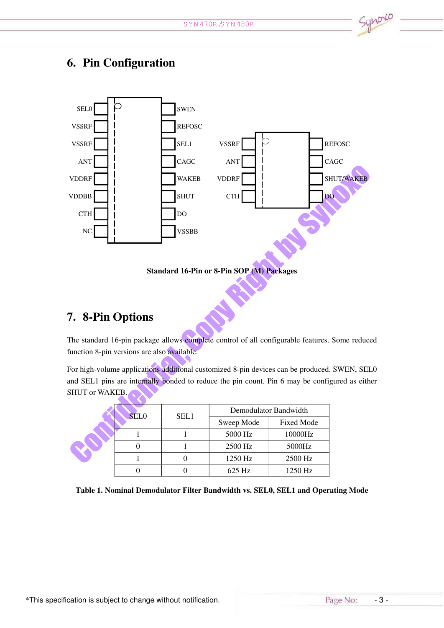

## 6. Pin Configuration



## 7. 8-Pin Options

The standard 16-pin package allows complete control of all configurable features. Some reduced function 8-pin versions are also available.

For high-volume applications additional customized 8-pin devices can be produced. SWEN, SEL0 and SEL1 pins are internally bonded to reduce the pin count. Pin 6 may be configured as either SHUT or WAKEB.

| <b>SELO</b> | SEL1 | Demodulator Bandwidth |                   |  |
|-------------|------|-----------------------|-------------------|--|
|             |      | Sweep Mode            | <b>Fixed Mode</b> |  |
|             |      | 5000 Hz               | 10000Hz           |  |
|             |      | 2500 Hz               | 5000Hz            |  |
|             |      | 1250 Hz               | 2500 Hz           |  |
|             |      | 625 Hz                | 1250 Hz           |  |

Table 1. Nominal Demodulator Filter Bandwidth vs. SEL0, SEL1 and Operating Mode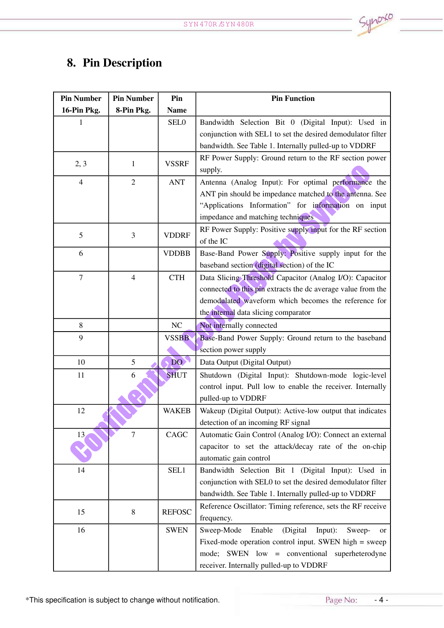# 8. Pin Description

| <b>Pin Number</b> | <b>Pin Number</b> | Pin           | <b>Pin Function</b>                                          |
|-------------------|-------------------|---------------|--------------------------------------------------------------|
| 16-Pin Pkg.       | 8-Pin Pkg.        | <b>Name</b>   |                                                              |
| 1                 |                   | <b>SEL0</b>   | Bandwidth Selection Bit 0 (Digital Input): Used in           |
|                   |                   |               | conjunction with SEL1 to set the desired demodulator filter  |
|                   |                   |               | bandwidth. See Table 1. Internally pulled-up to VDDRF        |
| 2, 3              | 1                 | <b>VSSRF</b>  | RF Power Supply: Ground return to the RF section power       |
|                   |                   |               | supply.                                                      |
| $\overline{4}$    | $\overline{2}$    | <b>ANT</b>    | Antenna (Analog Input): For optimal performance the          |
|                   |                   |               | ANT pin should be impedance matched to the antenna. See      |
|                   |                   |               | "Applications Information" for information on input          |
|                   |                   |               | impedance and matching techniques                            |
| 5                 | 3                 | <b>VDDRF</b>  | RF Power Supply: Positive supply input for the RF section    |
|                   |                   |               | of the IC                                                    |
| 6                 |                   | <b>VDDBB</b>  | Base-Band Power Supply: Positive supply input for the        |
|                   |                   |               | baseband section (digital section) of the IC                 |
| 7                 | 4                 | <b>CTH</b>    | Data Slicing Threshold Capacitor (Analog I/O): Capacitor     |
|                   |                   |               | connected to this pin extracts the dc average value from the |
|                   |                   |               | demodulated waveform which becomes the reference for         |
|                   |                   |               | the internal data slicing comparator                         |
| 8                 |                   | NC            | Not internally connected                                     |
| 9                 |                   | <b>VSSBB</b>  | Base-Band Power Supply: Ground return to the baseband        |
|                   |                   |               | section power supply                                         |
| 10                | 5                 | DO N          | Data Output (Digital Output)                                 |
| 11                | 6                 | <b>SHUT</b>   | Shutdown (Digital Input): Shutdown-mode logic-level          |
|                   |                   |               | control input. Pull low to enable the receiver. Internally   |
|                   |                   |               | pulled-up to VDDRF                                           |
| 12                |                   | <b>WAKEB</b>  | Wakeup (Digital Output): Active-low output that indicates    |
|                   |                   |               | detection of an incoming RF signal                           |
| 13                | $\overline{7}$    | CAGC          | Automatic Gain Control (Analog I/O): Connect an external     |
|                   |                   |               | capacitor to set the attack/decay rate of the on-chip        |
|                   |                   |               | automatic gain control                                       |
| 14                |                   | SEL1          | Bandwidth Selection Bit 1 (Digital Input): Used in           |
|                   |                   |               | conjunction with SEL0 to set the desired demodulator filter  |
|                   |                   |               | bandwidth. See Table 1. Internally pulled-up to VDDRF        |
| 15                | $\,8\,$           | <b>REFOSC</b> | Reference Oscillator: Timing reference, sets the RF receive  |
|                   |                   |               | frequency.                                                   |
| 16                |                   | <b>SWEN</b>   | (Digital<br>Sweep-Mode<br>Enable<br>Input):<br>Sweep-<br>or  |
|                   |                   |               | Fixed-mode operation control input. SWEN high = sweep        |
|                   |                   |               | SWEN low = conventional superheterodyne<br>mode;             |
|                   |                   |               | receiver. Internally pulled-up to VDDRF                      |

\*This specification is subject to change without notification. <br>
This specification is subject to change without notification.

Synoxo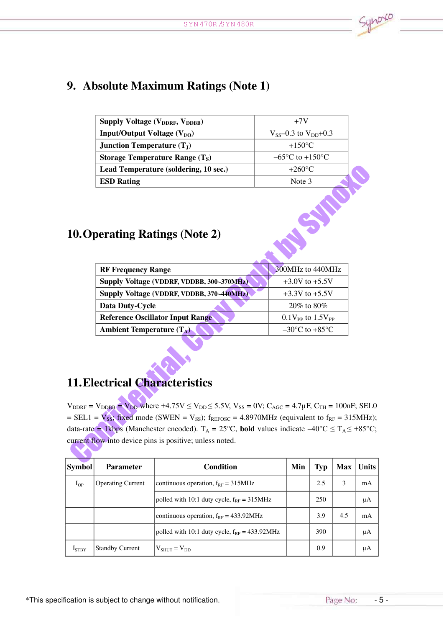## 9. Absolute Maximum Ratings (Note 1)

| <b>Supply Voltage (V<sub>DDRF</sub>, V<sub>DDBB</sub>)</b> | $+7V$                               |
|------------------------------------------------------------|-------------------------------------|
| <b>Input/Output Voltage (<math>V_{I/O}</math>)</b>         | $V_{SS}$ –0.3 to $V_{DD}$ +0.3      |
| <b>Junction Temperature</b> $(TJ)$                         | $+150^{\circ}$ C                    |
| Storage Temperature Range $(T_S)$                          | $-65^{\circ}$ C to $+150^{\circ}$ C |
| Lead Temperature (soldering, 10 sec.)                      | $+260^{\circ}$ C                    |
| <b>ESD Rating</b>                                          | Note 3                              |

## 10.Operating Ratings (Note 2)

| 300MHz to 440MHz                   |
|------------------------------------|
| $+3.0V$ to $+5.5V$                 |
| $+3.3V$ to $+5.5V$                 |
| $20\%$ to 80\%                     |
| $0.1V_{PP}$ to $1.5V_{PP}$         |
| $-30^{\circ}$ C to $+85^{\circ}$ C |
|                                    |

## 11.Electrical Characteristics

 $V_{\text{DDRF}} = V_{\text{DDBB}} = V_{\text{DD}}$  where +4.75V  $\leq$  V<sub>DD</sub> $\leq$  5.5V, V<sub>SS</sub> = 0V; C<sub>AGC</sub> = 4.7 $\mu$ F, C<sub>TH</sub> = 100nF; SEL0  $=$  SEL1 =  $V_{SS}$ ; fixed mode (SWEN =  $V_{SS}$ ); f<sub>REFOSC</sub> = 4.8970MHz (equivalent to f<sub>RF</sub> = 315MHz); data-rate  $\triangleq$  1kbps (Manchester encoded). T<sub>A</sub> = 25°C, **bold** values indicate  $-40^{\circ}$ C  $\leq$  T<sub>A</sub> $\leq$  +85°C; current flow into device pins is positive; unless noted.

| <b>Symbol</b>     | <b>Parameter</b>         | Condition                                                 | Min | <b>Typ</b> | <b>Max</b> | <b>Units</b> |
|-------------------|--------------------------|-----------------------------------------------------------|-----|------------|------------|--------------|
| $I_{OP}$          | <b>Operating Current</b> | continuous operation, $f_{RF} = 315 MHz$                  |     | 2.5        | 3          | mA           |
|                   |                          | polled with 10:1 duty cycle, $f_{RF} = 315 MHz$           |     | 250        |            | μA           |
|                   |                          | continuous operation, $f_{RF} = 433.92 \text{MHz}$        |     | 3.9        | 4.5        | mA           |
|                   |                          | polled with 10:1 duty cycle, $f_{RF} = 433.92 \text{MHz}$ |     | 390        |            | μA           |
| I <sub>STBY</sub> | <b>Standby Current</b>   | $V_{\text{shiff}} = V_{\text{DD}}$                        |     | 0.9        |            | μA           |

K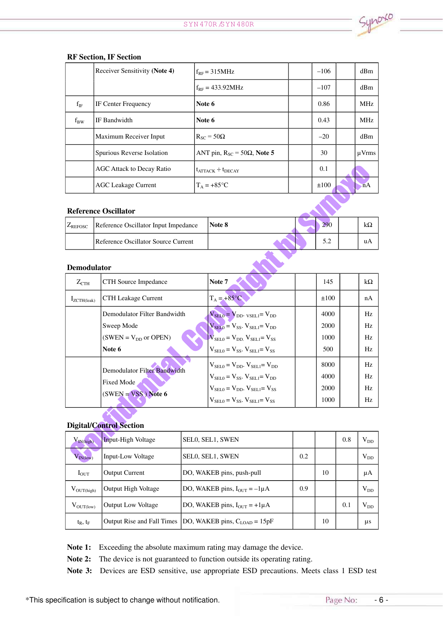|          | Receiver Sensitivity (Note 4) | $f_{RF} = 315 MHz$                        | $-106$ | dBm        |
|----------|-------------------------------|-------------------------------------------|--------|------------|
|          |                               | $f_{RF} = 433.92 MHz$                     | $-107$ | dBm        |
| $f_{IF}$ | <b>IF Center Frequency</b>    | Note 6                                    | 0.86   | <b>MHz</b> |
| $f_{BW}$ | IF Bandwidth                  | Note 6                                    | 0.43   | <b>MHz</b> |
|          | Maximum Receiver Input        | $R_{SC} = 50\Omega$                       | $-20$  | dBm        |
|          | Spurious Reverse Isolation    | ANT pin, $R_{SC} = 50\Omega$ , Note 5     | 30     | $\mu$ Vrms |
|          | AGC Attack to Decay Ratio     | $t_{\text{ATTACK}} \div t_{\text{DECAY}}$ | 0.1    |            |
|          | <b>AGC Leakage Current</b>    | $T_A = +85$ °C                            | ±100   | nA         |

#### RF Section, IF Section

#### Reference Oscillator

| Reference Oscillator Input Impedance<br>Note 8<br>$L_{REFOSC}$ | 290 | K. 4 |
|----------------------------------------------------------------|-----|------|
| Reference Oscillator Source Current                            | 5.2 | uA   |

#### Demodulator

| $Z_{\text{CTH}}$ | CTH Source Impedance                              | Note 7                                                                | 145  | $k\Omega$ |
|------------------|---------------------------------------------------|-----------------------------------------------------------------------|------|-----------|
| $I_{ZCTH(leak)}$ | <b>CTH Leakage Current</b>                        | $T_A = +85^{\circ}C$                                                  | ±100 | nA        |
|                  | Demodulator Filter Bandwidth                      | $V_{SELO} = V_{DD}$ . $v_{SELI} = V_{DD}$                             | 4000 | Hz.       |
|                  | Sweep Mode                                        | $V_{\text{SELO}} = V_{\text{SS}}$ . $V_{\text{SEL1}} = V_{\text{DD}}$ | 2000 | Hz.       |
|                  | $(SWEN = V_{DD}$ or OPEN)                         | $V_{\text{SELO}} = V_{\text{DD}} V_{\text{SELO}} = V_{\text{SS}}$     | 1000 | Hz.       |
|                  | Note 6                                            | $V_{\text{SELO}} = V_{\text{SS}}$ . $V_{\text{SELO}} = V_{\text{SS}}$ | 500  | Hz        |
|                  |                                                   | $V_{\text{SELO}} = V_{\text{DD}}$ . $V_{\text{SEL1}} = V_{\text{DD}}$ | 8000 | Hz.       |
|                  | Demodulator Filter Bandwidth<br><b>Fixed Mode</b> | $V_{\text{SELO}} = V_{\text{SS}}$ . $V_{\text{SELO}} = V_{\text{DD}}$ | 4000 | Hz.       |
|                  | $(SWEN = VSS)$ Note 6                             | $V_{SEI,0} = V_{DD}$ . $V_{SEI,1} = V_{SS}$                           | 2000 | Hz        |
|                  |                                                   | $V_{\text{SELO}} = V_{\text{SS}}$ . $V_{\text{SELI}} = V_{\text{SS}}$ | 1000 | Hz        |

#### Digital/Control Section

| $V_{\text{IN(high)}}$  | <b>Input-High Voltage</b>  | SEL0, SEL1, SWEN                                                      |     |    | 0.8 | $V_{DD}$ |
|------------------------|----------------------------|-----------------------------------------------------------------------|-----|----|-----|----------|
| $V_{IN(low)}$          | Input-Low Voltage          | <b>SELO, SEL1, SWEN</b>                                               | 0.2 |    |     | $V_{DD}$ |
| $I_{\text{OUT}}$       | <b>Output Current</b>      | DO, WAKEB pins, push-pull                                             |     | 10 |     | μA       |
| $V_{\text{OUT(high)}}$ | <b>Output High Voltage</b> | DO, WAKEB pins, $I_{OUT} = -1\mu A$                                   | 0.9 |    |     | $V_{DD}$ |
| $V_{\text{OUT}(low)}$  | <b>Output Low Voltage</b>  | DO, WAKEB pins, $I_{OUT} = +1\mu A$                                   |     |    | 0.1 | $V_{DD}$ |
| $t_R$ , $t_F$          |                            | Output Rise and Fall Times   DO, WAKEB pins, $C_{\text{LOAD}} = 15pF$ |     | 10 |     | μs       |

Note 1: Exceeding the absolute maximum rating may damage the device.

Note 2: The device is not guaranteed to function outside its operating rating.

Note 3: Devices are ESD sensitive, use appropriate ESD precautions. Meets class 1 ESD test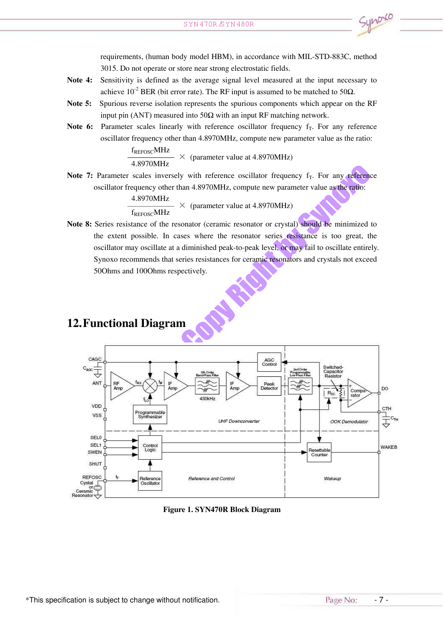requirements, (human body model HBM), in accordance with MIL-STD-883C, method 3015. Do not operate or store near strong electrostatic fields.

- Note 4: Sensitivity is defined as the average signal level measured at the input necessary to achieve 10<sup>-2</sup> BER (bit error rate). The RF input is assumed to be matched to 50 $\Omega$ .
- Note 5: Spurious reverse isolation represents the spurious components which appear on the RF input pin (ANT) measured into  $50\Omega$  with an input RF matching network.
- Note 6: Parameter scales linearly with reference oscillator frequency  $f<sub>T</sub>$ . For any reference oscillator frequency other than 4.8970MHz, compute new parameter value as the ratio:

 $\frac{f_{REFOSC}MHz}{4.8970MHz}$   $\times$  (parameter value at 4.8970MHz)

Note 7: Parameter scales inversely with reference oscillator frequency  $f_T$ . For any reference oscillator frequency other than 4.8970MHz, compute new parameter value as the ratio:

> 4.8970MHz  $\rightarrow \times$  (parameter value at 4.8970MHz) f<sub>REFOSC</sub>MHz

Note 8: Series resistance of the resonator (ceramic resonator or crystal) should be minimized to the extent possible. In cases where the resonator series resistance is too great, the oscillator may oscillate at <sup>a</sup> diminished peak-to-peak level, or may fail to oscillate entirely. Synoxo recommends that series resistances for ceramic resonators and crystals not exceed 50Ohms and 100Ohms respectively.



## 12.Functional Diagram

Figure 1. SYN470R Block Diagram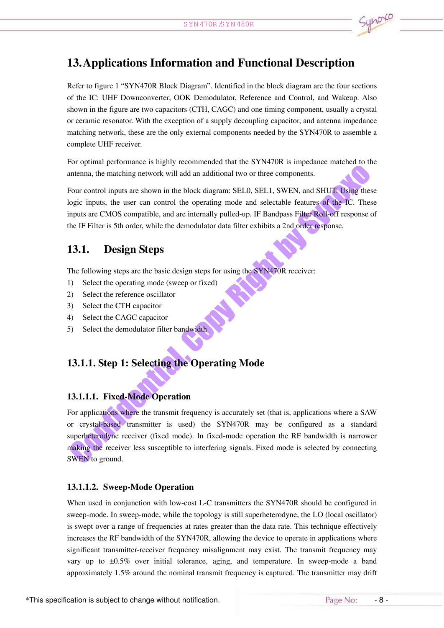

## 13.Applications Information and Functional Description

Refer to figure 1 "SYN470R Block Diagram". Identified in the block diagram are the four sections of the IC: UHF Downconverter, OOK Demodulator, Reference and Control, and Wakeup. Also shown in the figure are two capacitors (CTH, CAGC) and one timing component, usually <sup>a</sup> crystal or ceramic resonator. With the exception of <sup>a</sup> supply decoupling capacitor, and antenna impedance matching network, these are the only external components needed by the SYN470R to assemble <sup>a</sup> complete UHF receiver.

For optimal performance is highly recommended that the SYN470R is impedance matched to the antenna, the matching network will add an additional two or three components.

Four control inputs are shown in the block diagram: SEL0, SEL1, SWEN, and SHUT. Using these logic inputs, the user can control the operating mode and selectable features of the IC. These inputs are CMOS compatible, and are internally pulled-up. IF Bandpass Filter Roll-off response of the IF Filter is 5th order, while the demodulator data filter exhibits <sup>a</sup> 2nd order response.

## 13.1. Design Steps

The following steps are the basic design steps for using the SYN470R receiver:

- 1) Select the operating mode (sweep or fixed)
- 2) Select the reference oscillator
- 3) Select the CTH capacitor
- 4) Select the CAGC capacitor
- 5) Select the demodulator filter bandwidth

## 13.1.1. Step 1: Selecting the Operating Mode

#### 13.1.1.1. Fixed-Mode Operation

For applications where the transmit frequency is accurately set (that is, applications where <sup>a</sup> SAW or crystal-based transmitter is used) the SYN470R may be configured as <sup>a</sup> standard superheterodyne receiver (fixed mode). In fixed-mode operation the RF bandwidth is narrower making the receiver less susceptible to interfering signals. Fixed mode is selected by connecting SWEN to ground.

#### 13.1.1.2. Sweep-Mode Operation

When used in conjunction with low-cost L-C transmitters the SYN470R should be configured in sweep-mode. In sweep-mode, while the topology is still superheterodyne, the LO (local oscillator) is swep<sup>t</sup> over <sup>a</sup> range of frequencies at rates greater than the data rate. This technique effectively increases the RF bandwidth of the SYN470R, allowing the device to operate in applications where significant transmitter-receiver frequency misalignment may exist. The transmit frequency may vary up to ±0.5% over initial tolerance, aging, and temperature. In sweep-mode <sup>a</sup> band approximately 1.5% around the nominal transmit frequency is captured. The transmitter may drift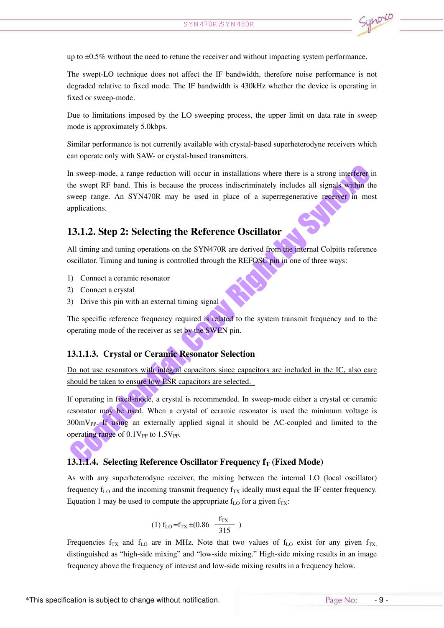up to ±0.5% without the need to retune the receiver and without impacting system performance.

The swept-LO technique does not affect the IF bandwidth, therefore noise performance is not degraded relative to fixed mode. The IF bandwidth is 430kHz whether the device is operating in fixed or sweep-mode.

Due to limitations imposed by the LO sweeping process, the upper limit on data rate in sweep mode is approximately 5.0kbps.

Similar performance is not currently available with crystal-based superheterodyne receivers which can operate only with SAW- or crystal-based transmitters.

In sweep-mode, <sup>a</sup> range reduction will occur in installations where there is <sup>a</sup> strong interferer in the swep<sup>t</sup> RF band. This is because the process indiscriminately includes all signals within the sweep range. An SYN470R may be used in place of <sup>a</sup> superregenerative receiver in most applications.

#### 13.1.2. Step 2: Selecting the Reference Oscillator

All timing and tuning operations on the SYN470R are derived from the internal Colpitts reference oscillator. Timing and tuning is controlled through the REFOSC pin in one of three ways:

- 1) Connect <sup>a</sup> ceramic resonator
- 2) Connect <sup>a</sup> crystal
- 3) Drive this pin with an external timing signal

The specific reference frequency required is related to the system transmit frequency and to the operating mode of the receiver as set by the SWEN pin.

#### 13.1.1.3. Crystal or Ceramic Resonator Selection

Do not use resonators with integral capacitors since capacitors are included in the IC, also care should be taken to ensure low ESR capacitors are selected.

If operating in fixed-mode, <sup>a</sup> crystal is recommended. In sweep-mode either <sup>a</sup> crystal or ceramic resonator may be used. When <sup>a</sup> crystal of ceramic resonator is used the minimum voltage is  $300 \text{mV}_{PP}$ . If using an externally applied signal it should be AC-coupled and limited to the operating range of  $0.1V_{PP}$  to  $1.5V_{PP}$ .

#### 13.1.1.4. Selecting Reference Oscillator Frequency  $f_T$  (Fixed Mode)

As with any superheterodyne receiver, the mixing between the internal LO (local oscillator) frequency  $f_{LO}$  and the incoming transmit frequency  $f_{TX}$  ideally must equal the IF center frequency. Equation 1 may be used to compute the appropriate  $f_{LO}$  for a given  $f_{TX}$ :

$$
(1) fLO = fTX \pm (0.86 \frac{fTX}{315})
$$

Frequencies  $f_{TX}$  and  $f_{LO}$  are in MHz. Note that two values of  $f_{LO}$  exist for any given  $f_{TX}$ , distinguished as "high-side mixing" and "low-side mixing." High-side mixing results in an image frequency above the frequency of interest and low-side mixing results in <sup>a</sup> frequency below.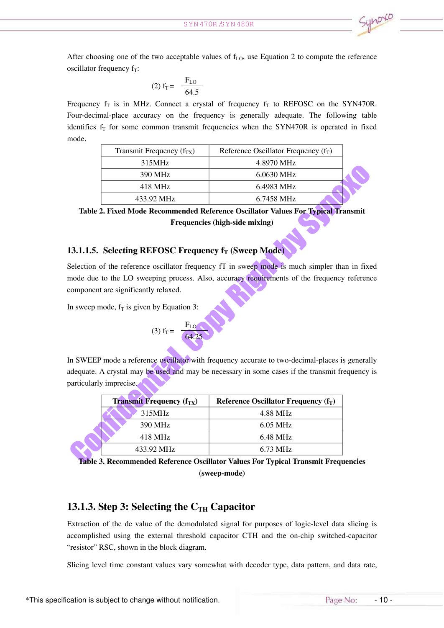After choosing one of the two acceptable values of  $f<sub>LO</sub>$ , use Equation 2 to compute the reference oscillator frequency  $f_T$ :

(2) 
$$
f_T = \frac{F_{LO}}{64.5}
$$

Frequency  $f_T$  is in MHz. Connect a crystal of frequency  $f_T$  to REFOSC on the SYN470R. Four-decimal-place accuracy on the frequency is generally adequate. The following table identifies  $f_T$  for some common transmit frequencies when the SYN470R is operated in fixed mode.

| Transmit Frequency $(f_{TX})$ | Reference Oscillator Frequency $(f_T)$ |
|-------------------------------|----------------------------------------|
| 315MHz                        | 4.8970 MHz                             |
| 390 MHz                       | 6.0630 MHz                             |
| 418 MHz                       | 6.4983 MHz                             |
| 433.92 MHz                    | 6.7458 MHz                             |

Table 2. Fixed Mode Recommended Reference Oscillator Values For Typical Transmit Frequencies (high-side mixing)

#### 13.1.1.5. Selecting REFOSC Frequency  $f_T$  (Sweep Mode)

Selection of the reference oscillator frequency fT in sweep mode is much simpler than in fixed mode due to the LO sweeping process. Also, accuracy requirements of the frequency reference componen<sup>t</sup> are significantly relaxed.

In sweep mode,  $f_T$  is given by Equation 3:

(3) 
$$
f_T = \frac{F_{LO}}{64.25}
$$

In SWEEP mode <sup>a</sup> reference oscillator with frequency accurate to two-decimal-places is generally adequate. A crystal may be used and may be necessary in some cases if the transmit frequency is particularly imprecise.

| <b>Transmit Frequency</b> $(f_{TX})$ | Reference Oscillator Frequency $(f_T)$ |
|--------------------------------------|----------------------------------------|
| 315MHz                               | 4.88 MHz                               |
| 390 MHz                              | $6.05$ MHz                             |
| 418 MHz                              | 6.48 MHz                               |
| 433.92 MHz                           | 6.73 MHz                               |

Table 3. Recommended Reference Oscillator Values For Typical Transmit Frequencies (sweep-mode)

#### 13.1.3. Step 3: Selecting the  $C_{TH}$  Capacitor

Extraction of the dc value of the demodulated signal for purposes of logic-level data slicing is accomplished using the external threshold capacitor CTH and the on-chip switched-capacitor "resistor" RSC, shown in the block diagram.

Slicing level time constant values vary somewhat with decoder type, data pattern, and data rate,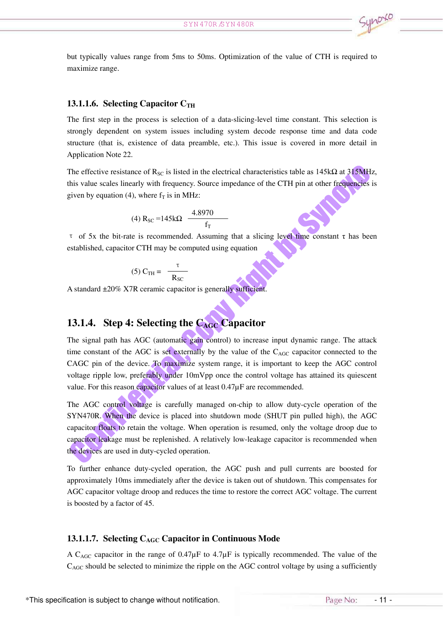but typically values range from 5ms to 50ms. Optimization of the value of CTH is required to maximize range.

#### 13.1.1.6. Selecting Capacitor  $C_{TH}$

The first step in the process is selection of <sup>a</sup> data-slicing-level time constant. This selection is strongly dependent on system issues including system decode response time and data code structure (that is, existence of data preamble, etc.). This issue is covered in more detail in Application Note 22.

The effective resistance of  $R_{SC}$  is listed in the electrical characteristics table as 145k $\Omega$  at 315MHz, this value scales linearly with frequency. Source impedance of the CTH pin at other frequencies is given by equation (4), where  $f<sub>T</sub>$  is in MHz:

(4) 
$$
R_{SC} = 145k\Omega
$$
  $\frac{4.8970}{f_T}$ 

τ of 5x the bit-rate is recommended. Assuming that <sup>a</sup> slicing level time constant <sup>τ</sup> has been established, capacitor CTH may be computed using equation

$$
(5) C_{TH} = \frac{\tau}{R_{SC}}
$$

A standard ±20% X7R ceramic capacitor is generally sufficient.

### 13.1.4. Step 4: Selecting the  $C_{AGC}$  Capacitor

The signal path has AGC (automatic gain control) to increase input dynamic range. The attack time constant of the AGC is set externally by the value of the  $C_{AGC}$  capacitor connected to the CAGC pin of the device. To maximize system range, it is important to keep the AGC control voltage ripple low, preferably under 10mVpp once the control voltage has attained its quiescent value. For this reason capacitor values of at least 0.47µF are recommended.

The AGC control voltage is carefully managed on-chip to allow duty-cycle operation of the SYN470R. When the device is placed into shutdown mode (SHUT pin pulled high), the AGC capacitor floats to retain the voltage. When operation is resumed, only the voltage droop due to capacitor leakage must be replenished. A relatively low-leakage capacitor is recommended when the devices are used in duty-cycled operation.

To further enhance duty-cycled operation, the AGC push and pull currents are boosted for approximately 10ms immediately after the device is taken out of shutdown. This compensates for AGC capacitor voltage droop and reduces the time to restore the correct AGC voltage. The current is boosted by <sup>a</sup> factor of 45.

#### 13.1.1.7. Selecting  $C_{AGC}$  Capacitor in Continuous Mode

A C<sub>AGC</sub> capacitor in the range of  $0.47\mu$ F to  $4.7\mu$ F is typically recommended. The value of the CAGC should be selected to minimize the ripple on the AGC control voltage by using <sup>a</sup> sufficiently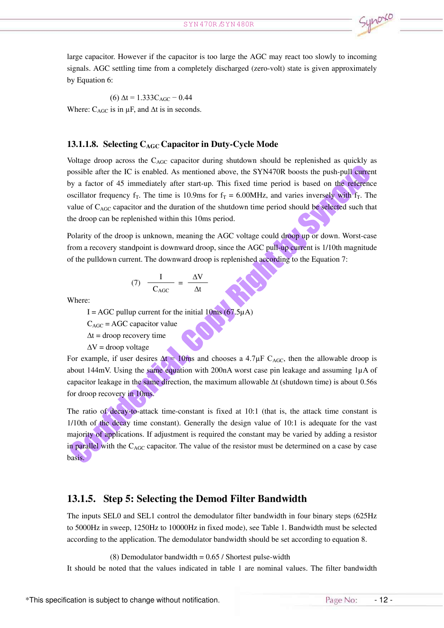large capacitor. However if the capacitor is too large the AGC may react too slowly to incoming signals. AGC settling time from <sup>a</sup> completely discharged (zero-volt) state is given approximately by Equation 6:

(6)  $\Delta t = 1.333 C_{\text{AGC}} - 0.44$ Where:  $C_{AGC}$  is in  $\mu$ F, and  $\Delta t$  is in seconds.

#### 13.1.1.8. Selecting  $C_{\text{AGC}}$  Capacitor in Duty-Cycle Mode

Voltage droop across the  $C_{\text{AGC}}$  capacitor during shutdown should be replenished as quickly as possible after the IC is enabled. As mentioned above, the SYN470R boosts the push-pull current by <sup>a</sup> factor of 45 immediately after start-up. This fixed time period is based on the reference oscillator frequency  $f_T$ . The time is 10.9ms for  $f_T = 6.00$ MHz, and varies inversely with  $f_T$ . The value of  $C_{\text{AGC}}$  capacitor and the duration of the shutdown time period should be selected such that the droop can be replenished within this 10ms period.

Polarity of the droop is unknown, meaning the AGC voltage could droop up or down. Worst-case from <sup>a</sup> recovery standpoint is downward droop, since the AGC pull-up current is 1/10th magnitude of the pulldown current. The downward droop is replenished according to the Equation 7:

$$
(7) \frac{I}{C_{AGC}} = \frac{\Delta V}{\Delta t}
$$

Where:

I = AGC pullup current for the initial  $10\text{ms}$  (67.5 $\mu$ A)

 $C_{\text{AGC}} = \text{AGC}$  capacitor value

 $\Delta t$  = droop recovery time

 $\Delta V$  = droop voltage

For example, if user desires  $\Delta t = 10$ ms and chooses a 4.7µF C<sub>AGC</sub>, then the allowable droop is about 144mV. Using the same equation with 200nA worst case pin leakage and assuming 1µA of capacitor leakage in the same direction, the maximum allowable ∆t (shutdown time) is about 0.56s for droop recovery in 10ms.

The ratio of decay-to-attack time-constant is fixed at 10:1 (that is, the attack time constant is  $1/10$ th of the decay time constant). Generally the design value of  $10:1$  is adequate for the vast majority of applications. If adjustment is required the constant may be varied by adding <sup>a</sup> resistor in parallel with the C<sub>AGC</sub> capacitor. The value of the resistor must be determined on a case by case basis.

#### 13.1.5. Step 5: Selecting the Demod Filter Bandwidth

The inputs SEL0 and SEL1 control the demodulator filter bandwidth in four binary steps (625Hz to 5000Hz in sweep, 1250Hz to 10000Hz in fixed mode), see Table 1. Bandwidth must be selected according to the application. The demodulator bandwidth should be set according to equation 8.

(8) Demodulator bandwidth  $= 0.65 /$  Shortest pulse-width

It should be noted that the values indicated in table 1 are nominal values. The filter bandwidth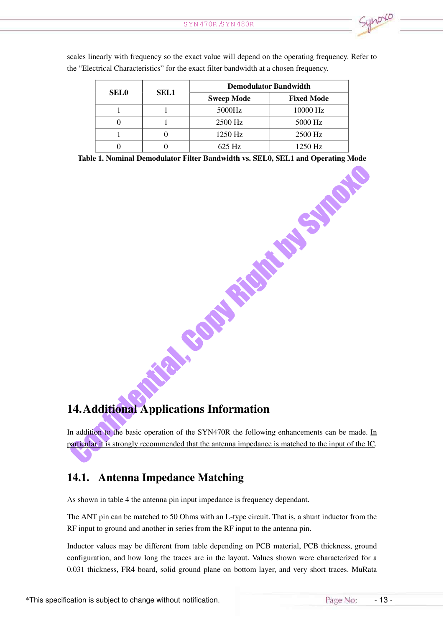|                  | SEL1             | <b>Demodulator Bandwidth</b>                                              |                   |  |  |  |
|------------------|------------------|---------------------------------------------------------------------------|-------------------|--|--|--|
| <b>SEL0</b>      |                  | <b>Sweep Mode</b>                                                         | <b>Fixed Mode</b> |  |  |  |
| $\mathbf{1}$     | $\mathbf{1}$     | $5000\rm Hz$                                                              | 10000 Hz          |  |  |  |
| $\boldsymbol{0}$ | $\mathbf{1}$     | 2500 Hz                                                                   | 5000 Hz           |  |  |  |
| $\mathbf{1}$     | $\boldsymbol{0}$ | 1250 Hz                                                                   | 2500 Hz           |  |  |  |
| $\overline{0}$   | $\boldsymbol{0}$ | 625 Hz                                                                    | 1250 Hz           |  |  |  |
|                  |                  | 1. Nominal Demodulator Filter Bandwidth vs. SEL0, SEL1 and Operating Mode |                   |  |  |  |
|                  |                  |                                                                           |                   |  |  |  |

scales linearly with frequency so the exact value will depend on the operating frequency. Refer to the "Electrical Characteristics" for the exact filter bandwidth at <sup>a</sup> chosen frequency.

Table 1. Nominal Demodulator Filter Bandwidth vs. SEL0, SEL1 and Operating Mode

## 14.Additional Applications Information

In addition to the basic operation of the SYN470R the following enhancements can be made. In particular it is strongly recommended that the antenna impedance is matched to the input of the IC.

## 14.1. Antenna Impedance Matching

As shown in table 4 the antenna pin input impedance is frequency dependant.

The ANT pin can be matched to 50 Ohms with an L-type circuit. That is, <sup>a</sup> shunt inductor from the RF input to ground and another in series from the RF input to the antenna pin.

Inductor values may be different from table depending on PCB material, PCB thickness, ground configuration, and how long the traces are in the layout. Values shown were characterized for <sup>a</sup> 0.031 thickness, FR4 board, solid ground plane on bottom layer, and very short traces. MuRata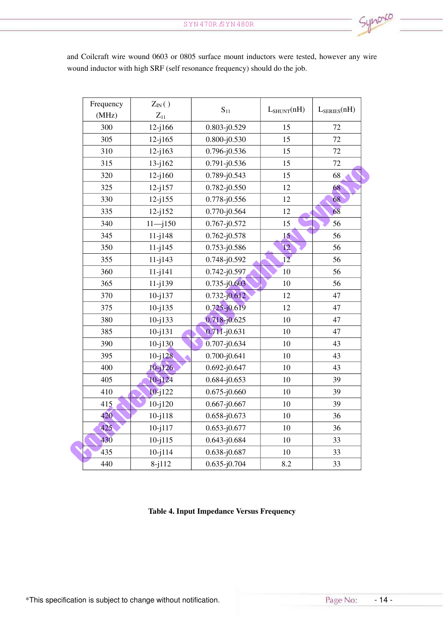| Frequency | $Z_{IN}()$        |                  |                 |                  |
|-----------|-------------------|------------------|-----------------|------------------|
| (MHz)     | $\mathbf{Z}_{11}$ | $S_{11}$         | $L_{SHUNT}(nH)$ | $L_{SERIES}(nH)$ |
| 300       | $12 - j166$       | $0.803 - j0.529$ | 15              | 72               |
| 305       | $12 - j165$       | $0.800 - j0.530$ | 15              | 72               |
| 310       | $12 - j163$       | $0.796 - j0.536$ | 15              | 72               |
| 315       | $13 - j162$       | $0.791 - j0.536$ | 15              | $72\,$           |
| 320       | $12 - j160$       | 0.789-j0.543     | 15              | 68               |
| 325       | $12 - j157$       | $0.782 - j0.550$ | 12              | 68               |
| 330       | $12 - j155$       | $0.778 - j0.556$ | 12              | 68               |
| 335       | $12 - j152$       | 0.770-j0.564     | 12              | 68               |
| 340       | $11 - j150$       | $0.767 - j0.572$ | 15              | 56               |
| 345       | $11 - j148$       | $0.762 - j0.578$ | 15 <sup>°</sup> | 56               |
| 350       | $11 - j145$       | $0.753 - j0.586$ | 12              | 56               |
| 355       | $11 - j143$       | $0.748 - j0.592$ | 12              | 56               |
| 360       | $11 - j141$       | $0.742 - j0.597$ | 10              | 56               |
| 365       | $11 - j139$       | $0.735 - j0.603$ | 10              | 56               |
| 370       | $10 - j137$       | $0.732 - j0.612$ | 12              | 47               |
| 375       | $10 - j135$       | $0.725 - j0.619$ | 12              | 47               |
| 380       | $10 - j133$       | $0.718 - j0.625$ | 10              | 47               |
| 385       | $10 - j131$       | $0.711 - j0.631$ | 10              | 47               |
| 390       | $10 - j130$       | $0.707 - j0.634$ | 10              | 43               |
| 395       | $10 - j128$       | $0.700 - j0.641$ | 10              | 43               |
| 400       | $10 - 126$        | $0.692 - j0.647$ | 10              | 43               |
| 405       | $10 - j124$       | $0.684 - j0.653$ | 10              | 39               |
| 410       | $10 - j122$       | $0.675 - j0.660$ | 10              | 39               |
| 415       | $10 - j120$       | $0.667 - j0.667$ | 10              | 39               |
| 420       | $10 - j118$       | $0.658 - j0.673$ | 10              | 36               |
| 425       | $10 - j117$       | $0.653 - j0.677$ | 10              | 36               |
| 430       | $10 - j115$       | $0.643 - j0.684$ | 10              | 33               |
| 435       | $10 - j114$       | 0.638-j0.687     | 10              | 33               |
| 440       | $8 - j112$        | $0.635 - j0.704$ | 8.2             | 33               |

and Coilcraft wire wound 0603 or 0805 surface mount inductors were tested, however any wire wound inductor with high SRF (self resonance frequency) should do the job.

#### Table 4. Input Impedance Versus Frequency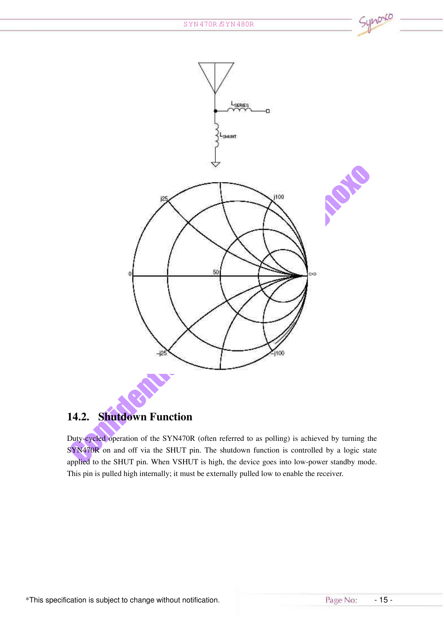

## 14.2. Shutdown Function

Duty-cycled operation of the SYN470R (often referred to as polling) is achieved by turning the SYN470R on and off via the SHUT pin. The shutdown function is controlled by a logic state applied to the SHUT pin. When VSHUT is high, the device goes into low-power standby mode. This pin is pulled high internally; it must be externally pulled low to enable the receiver.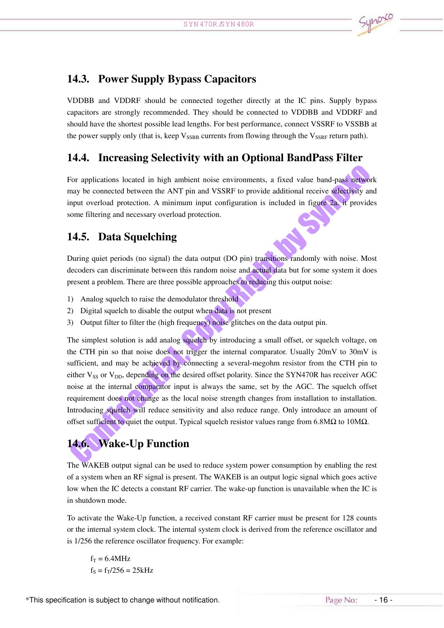## 14.3. Power Supply Bypass Capacitors

VDDBB and VDDRF should be connected together directly at the IC pins. Supply bypass capacitors are strongly recommended. They should be connected to VDDBB and VDDRF and should have the shortest possible lead lengths. For best performance, connect VSSRF to VSSBB at the power supply only (that is, keep  $V_{SSBB}$  currents from flowing through the  $V_{SSRF}$  return path).

## 14.4. Increasing Selectivity with an Optional BandPass Filter

For applications located in high ambient noise environments, <sup>a</sup> fixed value band-pass network may be connected between the ANT pin and VSSRF to provide additional receive selectivity and input overload protection. A minimum input configuration is included in figure 2a. it provides some filtering and necessary overload protection.

## 14.5. Data Squelching

During quiet periods (no signal) the data output (DO pin) transitions randomly with noise. Most decoders can discriminate between this random noise and actual data but for some system it does presen<sup>t</sup> <sup>a</sup> problem. There are three possible approaches to reducing this output noise:

- 1) Analog squelch to raise the demodulator threshold
- 2) Digital squelch to disable the output when data is not presen<sup>t</sup>
- 3) Output filter to filter the (high frequency) noise glitches on the data output pin.

The simplest solution is add analog squelch by introducing <sup>a</sup> small offset, or squelch voltage, on the CTH pin so that noise does not trigger the internal comparator. Usually 20mV to 30mV is sufficient, and may be achieved by connecting <sup>a</sup> several-megohm resistor from the CTH pin to either  $V_{SS}$  or  $V_{DD}$ , depending on the desired offset polarity. Since the SYN470R has receiver AGC noise at the internal comparator input is always the same, set by the AGC. The squelch offset requirement does not change as the local noise strength changes from installation to installation. Introducing squelch will reduce sensitivity and also reduce range. Only introduce an amount of offset sufficient to quiet the output. Typical squelch resistor values range from 6.8MΩ to 10MΩ.

# 14.6. Wake-Up Function

The WAKEB output signal can be used to reduce system power consumption by enabling the rest of <sup>a</sup> system when an RF signal is present. The WAKEB is an output logic signal which goes active low when the IC detects <sup>a</sup> constant RF carrier. The wake-up function is unavailable when the IC is in shutdown mode.

To activate the Wake-Up function, <sup>a</sup> received constant RF carrier must be presen<sup>t</sup> for 128 counts or the internal system clock. The internal system clock is derived from the reference oscillator and is 1/256 the reference oscillator frequency. For example:

 $f_T = 6.4 MHz$  $f_s = f_T/256 = 25kHz$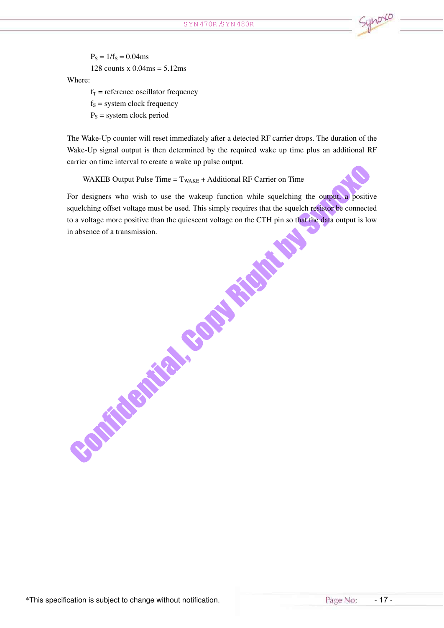$P_S = 1/f_S = 0.04$ ms 128 counts x  $0.04$ ms =  $5.12$ ms Where:  $f<sub>T</sub>$  = reference oscillator frequency

 $f<sub>S</sub>$  = system clock frequency  $P<sub>S</sub>$  = system clock period

The Wake-Up counter will reset immediately after <sup>a</sup> detected RF carrier drops. The duration of the Wake-Up signal output is then determined by the required wake up time plus an additional RF carrier on time interval to create <sup>a</sup> wake up pulse output.

WAKEB Output Pulse Time  $= T_{\text{WAKE}} + \text{Additional RF}$  Carrier on Time

For designers who wish to use the wakeup function while squelching the output, a positive squelching offset voltage must be used. This simply requires that the squelch resistor be connected to <sup>a</sup> voltage more positive than the quiescent voltage on the CTH pin so that the data output is low **Somitements** 

\*This specification is subject to change without notification. <br>This specification is subject to change without notification.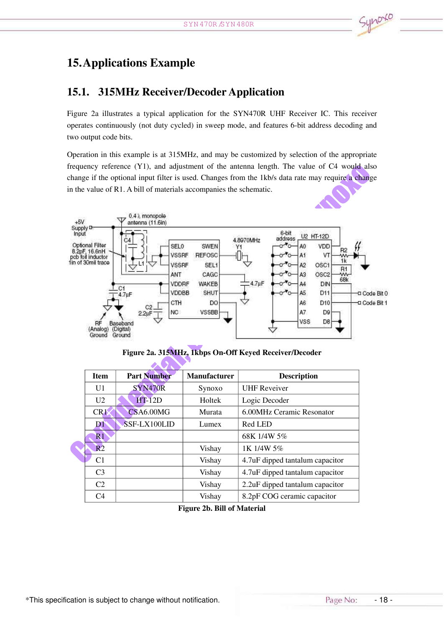## 15.Applications Example

## 15.1. 315MHz Receiver/Decoder Application

Figure 2a illustrates <sup>a</sup> typical application for the SYN470R UHF Receiver IC. This receiver operates continuously (not duty cycled) in sweep mode, and features 6-bit address decoding and two output code bits.

Operation in this example is at 315MHz, and may be customized by selection of the appropriate frequency reference (Y1), and adjustment of the antenna length. The value of C4 would also change if the optional input filter is used. Changes from the 1kb/s data rate may require <sup>a</sup> change in the value of R1. A bill of materials accompanies the schematic.



Figure 2a. 315MHz, 1kbps On-Off Keyed Receiver/Decoder

 $\overline{\phantom{a}}$  . The set of  $\overline{\phantom{a}}$ 

|  | <b>Item</b>     | <b>Part Number</b> | Manufacturer | <b>Description</b>              |
|--|-----------------|--------------------|--------------|---------------------------------|
|  | U1              | SYN470R            | Synoxo       | <b>UHF Reveiver</b>             |
|  | U2              | $HT-12D$           | Holtek       | Logic Decoder                   |
|  | CR <sub>1</sub> | CSA6.00MG          | Murata       | 6.00MHz Ceramic Resonator       |
|  | DT.             | SSF-LX100LID       | Lumex        | Red LED                         |
|  | $\mathbf{R}1$   |                    |              | 68K 1/4W 5%                     |
|  | R <sub>2</sub>  |                    | Vishay       | 1K 1/4W 5%                      |
|  | C <sub>1</sub>  |                    | Vishay       | 4.7uF dipped tantalum capacitor |
|  | C <sub>3</sub>  |                    | Vishay       | 4.7uF dipped tantalum capacitor |
|  | C <sub>2</sub>  |                    | Vishay       | 2.2uF dipped tantalum capacitor |
|  | C <sub>4</sub>  |                    | Vishay       | 8.2pF COG ceramic capacitor     |
|  |                 |                    |              |                                 |

Figure 2b. Bill of Material